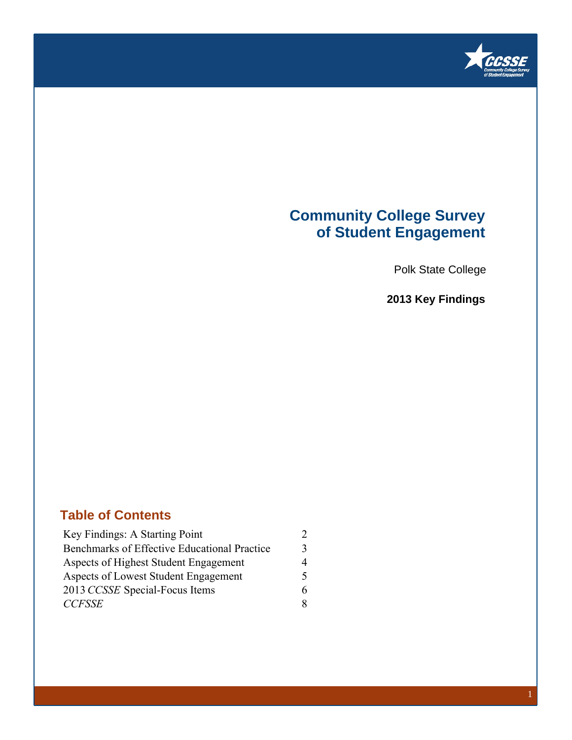

### **Community College Survey of Student Engagement**

Polk State College

**2013 Key Findings**

### **Table of Contents**

| Key Findings: A Starting Point               | $\mathcal{D}$ |
|----------------------------------------------|---------------|
| Benchmarks of Effective Educational Practice | 3             |
| Aspects of Highest Student Engagement        | 4             |
| Aspects of Lowest Student Engagement         | 5             |
| 2013 CCSSE Special-Focus Items               | 6             |
| <b>CCFSSE</b>                                | 8             |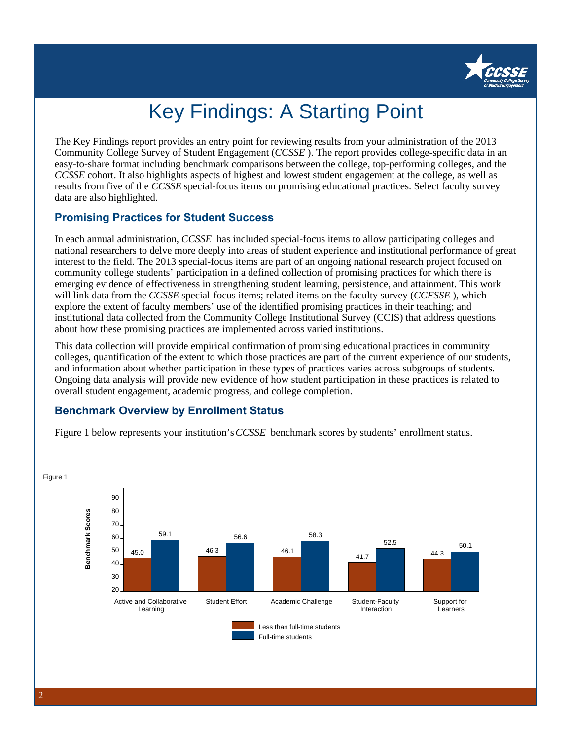

# Key Findings: A Starting Point

The Key Findings report provides an entry point for reviewing results from your administration of the 2013 Community College Survey of Student Engagement (*CCSSE* ). The report provides college-specific data in an easy-to-share format including benchmark comparisons between the college, top-performing colleges, and the *CCSSE* cohort. It also highlights aspects of highest and lowest student engagement at the college, as well as results from five of the *CCSSE* special-focus items on promising educational practices. Select faculty survey data are also highlighted.

### **Promising Practices for Student Success**

In each annual administration, *CCSSE* has included special-focus items to allow participating colleges and national researchers to delve more deeply into areas of student experience and institutional performance of great interest to the field. The 2013 special-focus items are part of an ongoing national research project focused on community college students' participation in a defined collection of promising practices for which there is emerging evidence of effectiveness in strengthening student learning, persistence, and attainment. This work will link data from the *CCSSE* special-focus items; related items on the faculty survey (*CCFSSE* ), which explore the extent of faculty members' use of the identified promising practices in their teaching; and institutional data collected from the Community College Institutional Survey (CCIS) that address questions about how these promising practices are implemented across varied institutions.

This data collection will provide empirical confirmation of promising educational practices in community colleges, quantification of the extent to which those practices are part of the current experience of our students, and information about whether participation in these types of practices varies across subgroups of students. Ongoing data analysis will provide new evidence of how student participation in these practices is related to overall student engagement, academic progress, and college completion.

### **Benchmark Overview by Enrollment Status**

Figure 1 below represents your institution's *CCSSE* benchmark scores by students' enrollment status.

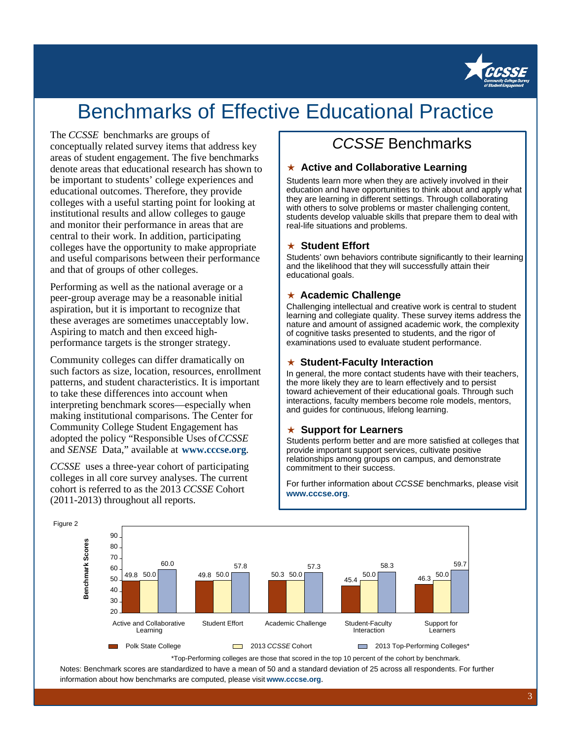

## Benchmarks of Effective Educational Practice

#### The *CCSSE* benchmarks are groups of

conceptually related survey items that address key areas of student engagement. The five benchmarks denote areas that educational research has shown to be important to students' college experiences and educational outcomes. Therefore, they provide colleges with a useful starting point for looking at institutional results and allow colleges to gauge and monitor their performance in areas that are central to their work. In addition, participating colleges have the opportunity to make appropriate and useful comparisons between their performance and that of groups of other colleges.

Performing as well as the national average or a peer-group average may be a reasonable initial aspiration, but it is important to recognize that these averages are sometimes unacceptably low. Aspiring to match and then exceed highperformance targets is the stronger strategy.

Community colleges can differ dramatically on such factors as size, location, resources, enrollment patterns, and student characteristics. It is important to take these differences into account when interpreting benchmark scores—especially when making institutional comparisons. The Center for Community College Student Engagement has adopted the policy "Responsible Uses of *CCSSE* and *SENSE* Data," available at **www.cccse.org**.

*CCSSE* uses a three-year cohort of participating colleges in all core survey analyses. The current cohort is referred to as the 2013 *CCSSE* Cohort (2011-2013) throughout all reports.

### CCSSE Benchmarks

#### ★ **Active and Collaborative Learning**

Students learn more when they are actively involved in their education and have opportunities to think about and apply what they are learning in different settings. Through collaborating with others to solve problems or master challenging content, students develop valuable skills that prepare them to deal with real-life situations and problems.

#### ★ **Student Effort**

Students' own behaviors contribute significantly to their learning and the likelihood that they will successfully attain their educational goals.

#### ★ **Academic Challenge**

Challenging intellectual and creative work is central to student learning and collegiate quality. These survey items address the nature and amount of assigned academic work, the complexity of cognitive tasks presented to students, and the rigor of examinations used to evaluate student performance.

#### ★ **Student-Faculty Interaction**

In general, the more contact students have with their teachers, the more likely they are to learn effectively and to persist toward achievement of their educational goals. Through such interactions, faculty members become role models, mentors, and guides for continuous, lifelong learning.

#### ★ **Support for Learners**

Students perform better and are more satisfied at colleges that provide important support services, cultivate positive relationships among groups on campus, and demonstrate commitment to their success.

For further information about CCSSE benchmarks, please visit **www.cccse.org**.



\*Top-Performing colleges are those that scored in the top 10 percent of the cohort by benchmark.

Notes: Benchmark scores are standardized to have a mean of 50 and a standard deviation of 25 across all respondents. For further information about how benchmarks are computed, please visit **www.cccse.org**.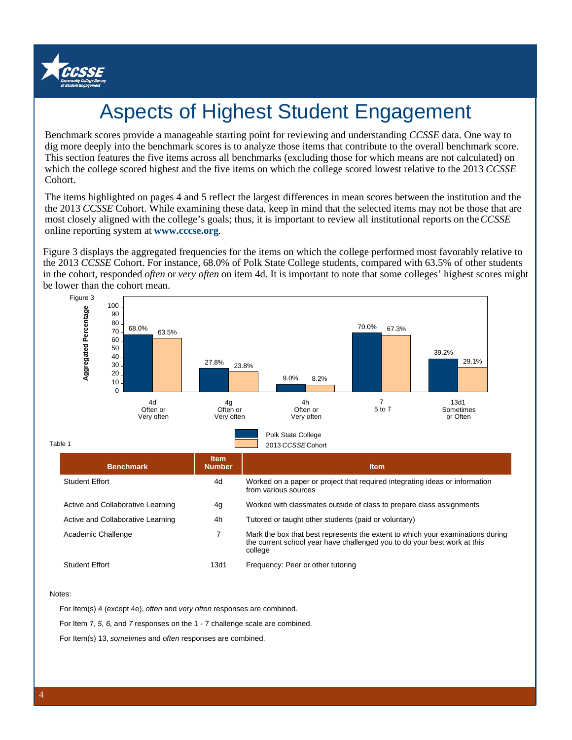

## Aspects of Highest Student Engagement

Benchmark scores provide a manageable starting point for reviewing and understanding *CCSSE* data. One way to dig more deeply into the benchmark scores is to analyze those items that contribute to the overall benchmark score. This section features the five items across all benchmarks (excluding those for which means are not calculated) on which the college scored highest and the five items on which the college scored lowest relative to the 2013 *CCSSE* Cohort.

The items highlighted on pages 4 and 5 reflect the largest differences in mean scores between the institution and the the 2013 *CCSSE* Cohort. While examining these data, keep in mind that the selected items may not be those that are most closely aligned with the college's goals; thus, it is important to review all institutional reports on the *CCSSE* online reporting system at **www.cccse.org**.

Figure 3 displays the aggregated frequencies for the items on which the college performed most favorably relative to the 2013 *CCSSE* Cohort. For instance, 68.0% of Polk State College students, compared with 63.5% of other students in the cohort, responded *often* or *very often* on item 4d. It is important to note that some colleges' highest scores might be lower than the cohort mean.



Notes:

For Item(s) 4 (except 4e), often and very often responses are combined.

For Item 7, 5, 6, and 7 responses on the 1 - 7 challenge scale are combined.

For Item(s) 13, sometimes and often responses are combined.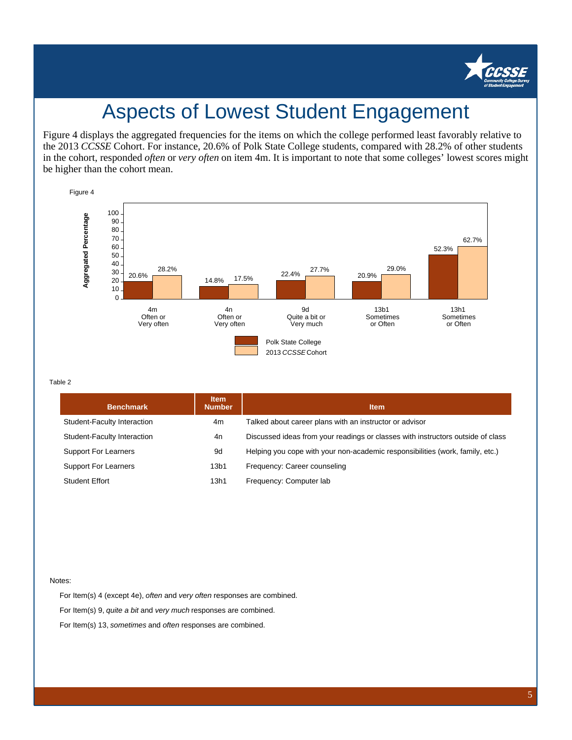

## Aspects of Lowest Student Engagement

Figure 4 displays the aggregated frequencies for the items on which the college performed least favorably relative to the 2013 *CCSSE* Cohort. For instance, 20.6% of Polk State College students, compared with 28.2% of other students in the cohort, responded *often* or *very often* on item 4m. It is important to note that some colleges' lowest scores might be higher than the cohort mean.



Table 2

| <b>Benchmark</b>            | <b>Item</b><br><b>Number</b> | <b>Item</b>                                                                     |
|-----------------------------|------------------------------|---------------------------------------------------------------------------------|
| Student-Faculty Interaction | 4m                           | Talked about career plans with an instructor or advisor                         |
| Student-Faculty Interaction | 4n                           | Discussed ideas from your readings or classes with instructors outside of class |
| <b>Support For Learners</b> | 9d                           | Helping you cope with your non-academic responsibilities (work, family, etc.)   |
| <b>Support For Learners</b> | 13 <sub>b1</sub>             | Frequency: Career counseling                                                    |
| <b>Student Effort</b>       | 13h1                         | Frequency: Computer lab                                                         |

#### Notes:

For Item(s) 4 (except 4e), often and very often responses are combined. For Item(s) 9, quite a bit and very much responses are combined. For Item(s) 13, sometimes and often responses are combined.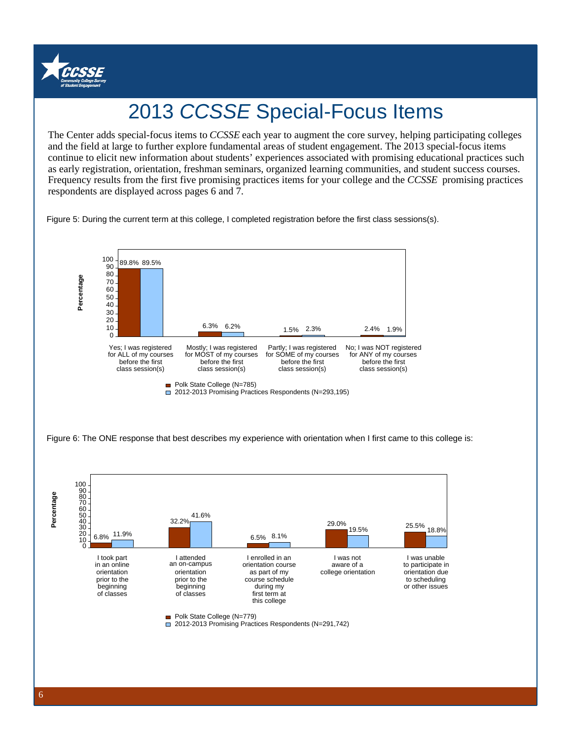

# 2013 CCSSE Special-Focus Items

and the field at large to further explore fundamental areas of student engagement. The 2013 special-focus items The Center adds special-focus items to *CCSSE* each year to augment the core survey, helping participating colleges continue to elicit new information about students' experiences associated with promising educational practices such as early registration, orientation, freshman seminars, organized learning communities, and student success courses. Frequency results from the first five promising practices items for your college and the *CCSSE* promising practices respondents are displayed across pages 6 and 7.

Figure 5: During the current term at this college, I completed registration before the first class sessions(s).

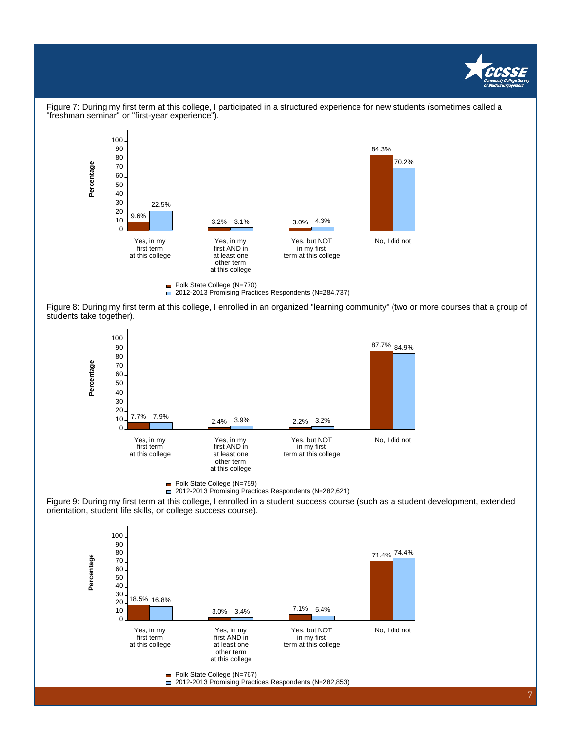



Figure 7: During my first term at this college, I participated in a structured experience for new students (sometimes called a "freshman seminar" or "first-year experience").

Figure 8: During my first term at this college, I enrolled in an organized "learning community" (two or more courses that a group of students take together).



Polk State College (N=759)

2012-2013 Promising Practices Respondents (N=282,621)

Figure 9: During my first term at this college, I enrolled in a student success course (such as a student development, extended orientation, student life skills, or college success course).